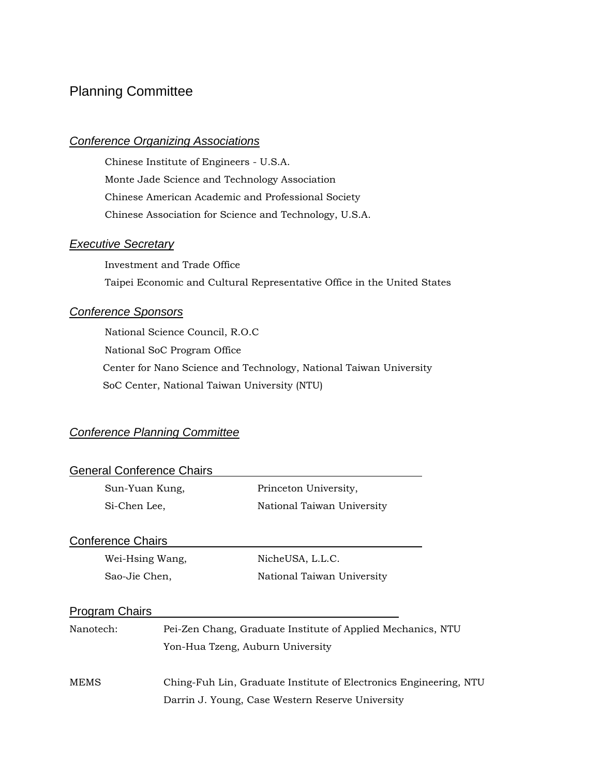# Planning Committee

## *Conference Organizing Associations*

Chinese Institute of Engineers - U.S.A. Monte Jade Science and Technology Association Chinese American Academic and Professional Society Chinese Association for Science and Technology, U.S.A.

## *Executive Secretary*

Investment and Trade Office Taipei Economic and Cultural Representative Office in the United States

### *Conference Sponsors*

National Science Council, R.O.C National SoC Program Office Center for Nano Science and Technology, National Taiwan University SoC Center, National Taiwan University (NTU)

## *Conference Planning Committee*

| <b>General Conference Chairs</b> |  |                                                                   |
|----------------------------------|--|-------------------------------------------------------------------|
| Sun-Yuan Kung,                   |  | Princeton University,                                             |
| Si-Chen Lee,                     |  | National Taiwan University                                        |
| <b>Conference Chairs</b>         |  |                                                                   |
| Wei-Hsing Wang,                  |  | NicheUSA, L.L.C.                                                  |
| Sao-Jie Chen,                    |  | National Taiwan University                                        |
| <b>Program Chairs</b>            |  |                                                                   |
| Nanotech:                        |  | Pei-Zen Chang, Graduate Institute of Applied Mechanics, NTU       |
|                                  |  | Yon-Hua Tzeng, Auburn University                                  |
| MEMS                             |  | Ching-Fuh Lin, Graduate Institute of Electronics Engineering, NTU |
|                                  |  | Darrin J. Young, Case Western Reserve University                  |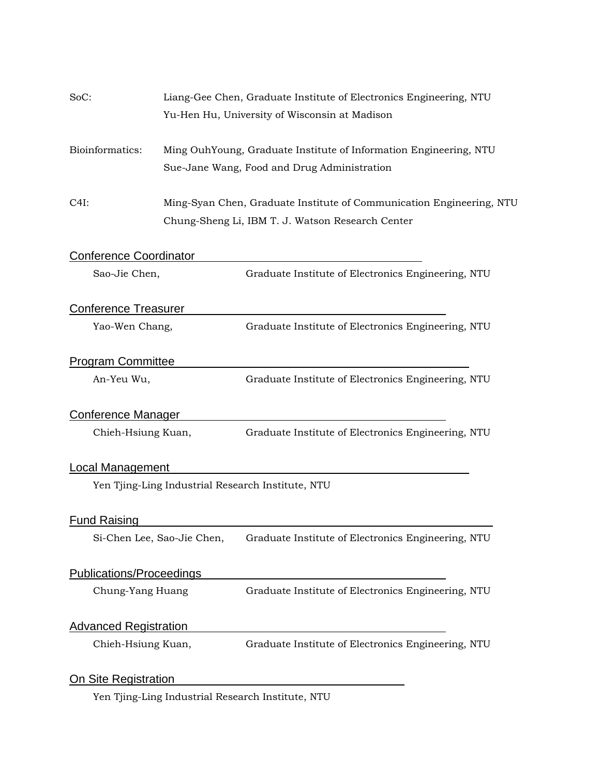| SoC:                            | Liang-Gee Chen, Graduate Institute of Electronics Engineering, NTU |                                                                                                                          |  |
|---------------------------------|--------------------------------------------------------------------|--------------------------------------------------------------------------------------------------------------------------|--|
|                                 |                                                                    | Yu-Hen Hu, University of Wisconsin at Madison                                                                            |  |
| Bioinformatics:                 |                                                                    | Ming OuhYoung, Graduate Institute of Information Engineering, NTU<br>Sue-Jane Wang, Food and Drug Administration         |  |
| C4I:                            |                                                                    | Ming-Syan Chen, Graduate Institute of Communication Engineering, NTU<br>Chung-Sheng Li, IBM T. J. Watson Research Center |  |
| <b>Conference Coordinator</b>   |                                                                    |                                                                                                                          |  |
| Sao-Jie Chen,                   |                                                                    | Graduate Institute of Electronics Engineering, NTU                                                                       |  |
| <b>Conference Treasurer</b>     |                                                                    |                                                                                                                          |  |
| Yao-Wen Chang,                  |                                                                    | Graduate Institute of Electronics Engineering, NTU                                                                       |  |
| <b>Program Committee</b>        |                                                                    |                                                                                                                          |  |
| An-Yeu Wu,                      |                                                                    | Graduate Institute of Electronics Engineering, NTU                                                                       |  |
| <b>Conference Manager</b>       |                                                                    |                                                                                                                          |  |
| Chieh-Hsiung Kuan,              |                                                                    | Graduate Institute of Electronics Engineering, NTU                                                                       |  |
| <b>Local Management</b>         |                                                                    |                                                                                                                          |  |
|                                 |                                                                    | Yen Tjing-Ling Industrial Research Institute, NTU                                                                        |  |
| <b>Fund Raising</b>             |                                                                    |                                                                                                                          |  |
|                                 | Si-Chen Lee, Sao-Jie Chen,                                         | Graduate Institute of Electronics Engineering, NTU                                                                       |  |
| <b>Publications/Proceedings</b> |                                                                    |                                                                                                                          |  |
| Chung-Yang Huang                |                                                                    | Graduate Institute of Electronics Engineering, NTU                                                                       |  |
| <b>Advanced Registration</b>    |                                                                    |                                                                                                                          |  |
| Chieh-Hsiung Kuan,              |                                                                    | Graduate Institute of Electronics Engineering, NTU                                                                       |  |
| <b>On Site Registration</b>     |                                                                    |                                                                                                                          |  |
|                                 |                                                                    | Yen Tjing-Ling Industrial Research Institute, NTU                                                                        |  |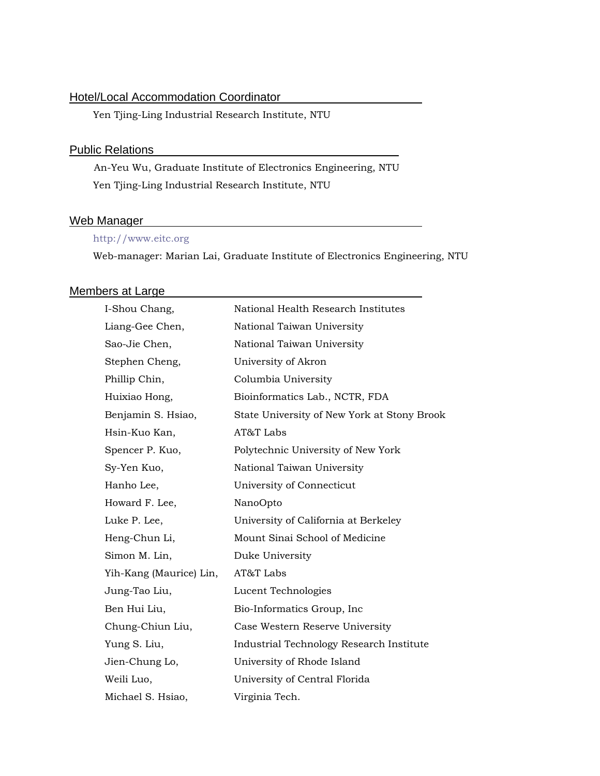## **Hotel/Local Accommodation Coordinator**

Yen Tjing-Ling Industrial Research Institute, NTU

#### **Public Relations**

 An-Yeu Wu, Graduate Institute of Electronics Engineering, NTU Yen Tjing-Ling Industrial Research Institute, NTU

### Web Manager

### http://www.eitc.org

Web-manager: Marian Lai, Graduate Institute of Electronics Engineering, NTU

## Members at Large

| I-Shou Chang,           | National Health Research Institutes         |  |
|-------------------------|---------------------------------------------|--|
| Liang-Gee Chen,         | National Taiwan University                  |  |
| Sao-Jie Chen,           | National Taiwan University                  |  |
| Stephen Cheng,          | University of Akron                         |  |
| Phillip Chin,           | Columbia University                         |  |
| Huixiao Hong,           | Bioinformatics Lab., NCTR, FDA              |  |
| Benjamin S. Hsiao,      | State University of New York at Stony Brook |  |
| Hsin-Kuo Kan,           | AT&T Labs                                   |  |
| Spencer P. Kuo,         | Polytechnic University of New York          |  |
| Sy-Yen Kuo,             | National Taiwan University                  |  |
| Hanho Lee,              | University of Connecticut                   |  |
| Howard F. Lee,          | NanoOpto                                    |  |
| Luke P. Lee,            | University of California at Berkeley        |  |
| Heng-Chun Li,           | Mount Sinai School of Medicine              |  |
| Simon M. Lin,           | Duke University                             |  |
| Yih-Kang (Maurice) Lin, | AT&T Labs                                   |  |
| Jung-Tao Liu,           | Lucent Technologies                         |  |
| Ben Hui Liu,            | Bio-Informatics Group, Inc                  |  |
| Chung-Chiun Liu,        | Case Western Reserve University             |  |
| Yung S. Liu,            | Industrial Technology Research Institute    |  |
| Jien-Chung Lo,          | University of Rhode Island                  |  |
| Weili Luo,              | University of Central Florida               |  |
| Michael S. Hsiao,       | Virginia Tech.                              |  |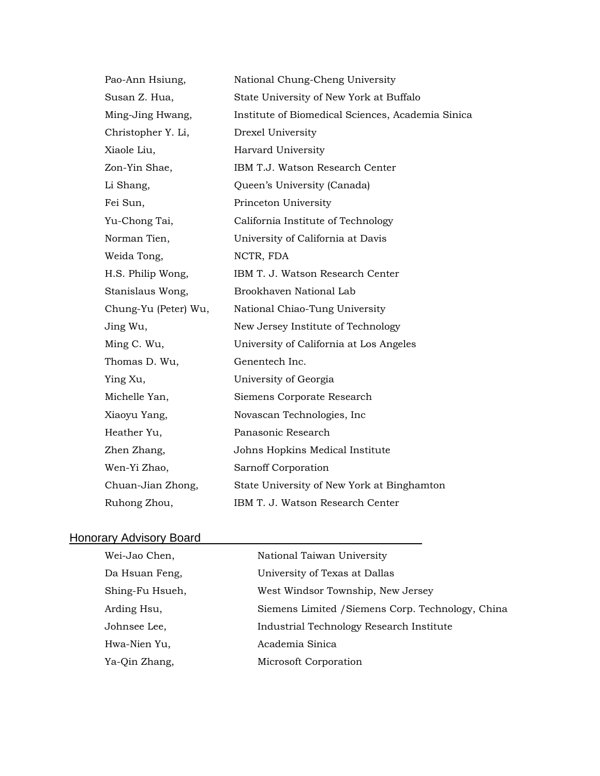| Pao-Ann Hsiung,      | National Chung-Cheng University                   |  |
|----------------------|---------------------------------------------------|--|
| Susan Z. Hua,        | State University of New York at Buffalo           |  |
| Ming-Jing Hwang,     | Institute of Biomedical Sciences, Academia Sinica |  |
| Christopher Y. Li,   | Drexel University                                 |  |
| Xiaole Liu,          | Harvard University                                |  |
| Zon-Yin Shae,        | IBM T.J. Watson Research Center                   |  |
| Li Shang,            | Queen's University (Canada)                       |  |
| Fei Sun,             | Princeton University                              |  |
| Yu-Chong Tai,        | California Institute of Technology                |  |
| Norman Tien,         | University of California at Davis                 |  |
| Weida Tong,          | NCTR, FDA                                         |  |
| H.S. Philip Wong,    | IBM T. J. Watson Research Center                  |  |
| Stanislaus Wong,     | Brookhaven National Lab                           |  |
| Chung-Yu (Peter) Wu, | National Chiao-Tung University                    |  |
| Jing Wu,             | New Jersey Institute of Technology                |  |
| Ming C. Wu,          | University of California at Los Angeles           |  |
| Thomas D. Wu,        | Genentech Inc.                                    |  |
| Ying Xu,             | University of Georgia                             |  |
| Michelle Yan,        | Siemens Corporate Research                        |  |
| Xiaoyu Yang,         | Novascan Technologies, Inc                        |  |
| Heather Yu,          | Panasonic Research                                |  |
| Zhen Zhang,          | Johns Hopkins Medical Institute                   |  |
| Wen-Yi Zhao,         | Sarnoff Corporation                               |  |
| Chuan-Jian Zhong,    | State University of New York at Binghamton        |  |
| Ruhong Zhou,         | IBM T. J. Watson Research Center                  |  |

# Honorary Advisory Board<br>
Honorary Advisory Board

| Wei-Jao Chen,   | National Taiwan University                        |
|-----------------|---------------------------------------------------|
| Da Hsuan Feng,  | University of Texas at Dallas                     |
| Shing-Fu Hsueh, | West Windsor Township, New Jersey                 |
| Arding Hsu,     | Siemens Limited / Siemens Corp. Technology, China |
| Johnsee Lee,    | Industrial Technology Research Institute          |
| Hwa-Nien Yu,    | Academia Sinica                                   |
| Ya-Qin Zhang,   | Microsoft Corporation                             |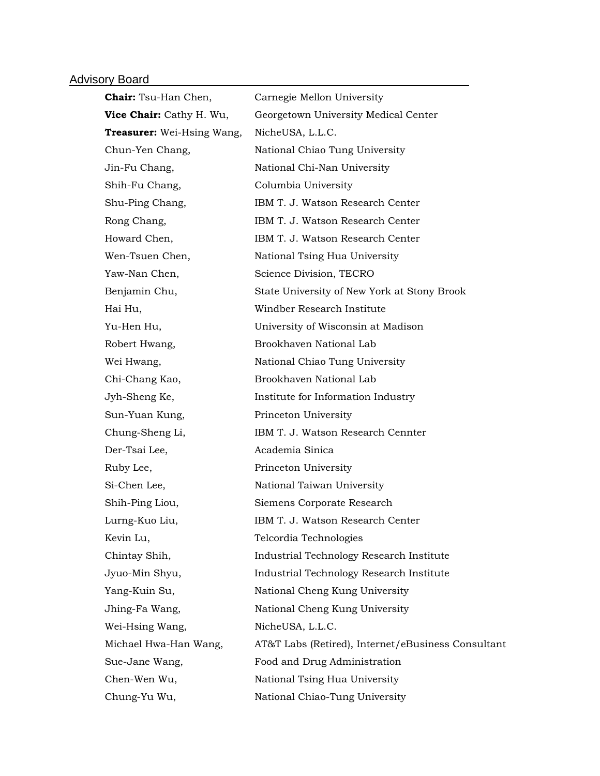## Advisory Board **Manual Advisory Board**

| <b>Chair:</b> Tsu-Han Chen,       | Carnegie Mellon University                         |  |
|-----------------------------------|----------------------------------------------------|--|
| Vice Chair: Cathy H. Wu,          | Georgetown University Medical Center               |  |
| <b>Treasurer:</b> Wei-Hsing Wang, | NicheUSA, L.L.C.                                   |  |
| Chun-Yen Chang,                   | National Chiao Tung University                     |  |
| Jin-Fu Chang,                     | National Chi-Nan University                        |  |
| Shih-Fu Chang,                    | Columbia University                                |  |
| Shu-Ping Chang,                   | IBM T. J. Watson Research Center                   |  |
| Rong Chang,                       | IBM T. J. Watson Research Center                   |  |
| Howard Chen,                      | IBM T. J. Watson Research Center                   |  |
| Wen-Tsuen Chen,                   | National Tsing Hua University                      |  |
| Yaw-Nan Chen,                     | Science Division, TECRO                            |  |
| Benjamin Chu,                     | State University of New York at Stony Brook        |  |
| Hai Hu,                           | Windber Research Institute                         |  |
| Yu-Hen Hu,                        | University of Wisconsin at Madison                 |  |
| Robert Hwang,                     | Brookhaven National Lab                            |  |
| Wei Hwang,                        | National Chiao Tung University                     |  |
| Chi-Chang Kao,                    | Brookhaven National Lab                            |  |
| Jyh-Sheng Ke,                     | Institute for Information Industry                 |  |
| Sun-Yuan Kung,                    | Princeton University                               |  |
| Chung-Sheng Li,                   | IBM T. J. Watson Research Cennter                  |  |
| Der-Tsai Lee,                     | Academia Sinica                                    |  |
| Ruby Lee,                         | Princeton University                               |  |
| Si-Chen Lee,                      | National Taiwan University                         |  |
| Shih-Ping Liou,                   | Siemens Corporate Research                         |  |
| Lurng-Kuo Liu,                    | IBM T. J. Watson Research Center                   |  |
| Kevin Lu,                         | Telcordia Technologies                             |  |
| Chintay Shih,                     | Industrial Technology Research Institute           |  |
| Jyuo-Min Shyu,                    | Industrial Technology Research Institute           |  |
| Yang-Kuin Su,                     | National Cheng Kung University                     |  |
| Jhing-Fa Wang,                    | National Cheng Kung University                     |  |
| Wei-Hsing Wang,                   | NicheUSA, L.L.C.                                   |  |
| Michael Hwa-Han Wang,             | AT&T Labs (Retired), Internet/eBusiness Consultant |  |
| Sue-Jane Wang,                    | Food and Drug Administration                       |  |
| Chen-Wen Wu,                      | National Tsing Hua University                      |  |
| Chung-Yu Wu,                      | National Chiao-Tung University                     |  |